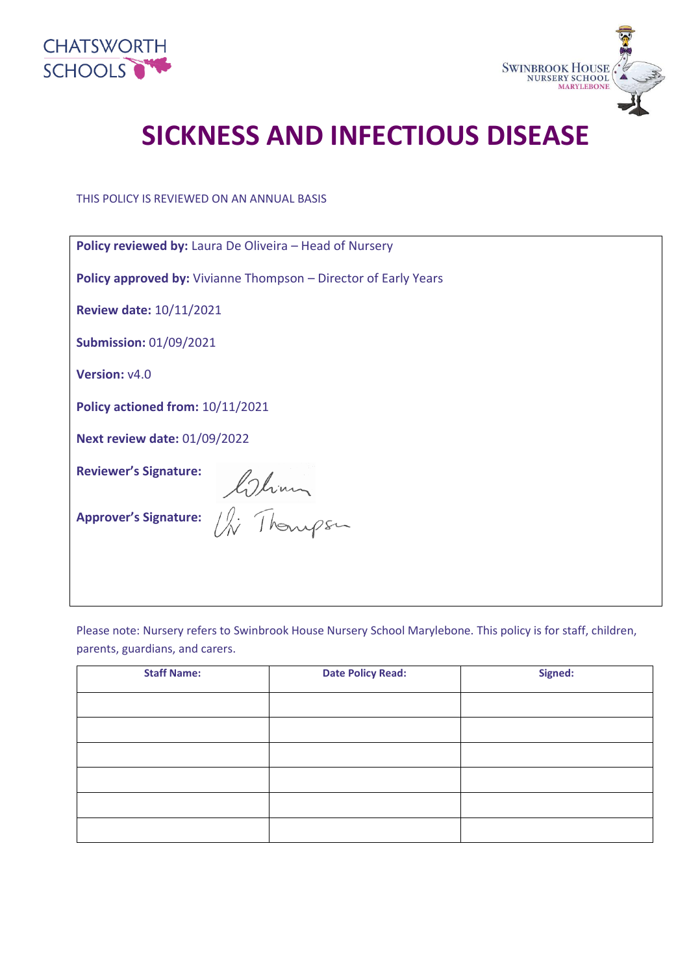



# **SICKNESS AND INFECTIOUS DISEASE**

THIS POLICY IS REVIEWED ON AN ANNUAL BASIS

| <b>Policy reviewed by: Laura De Oliveira - Head of Nursery</b>         |
|------------------------------------------------------------------------|
| <b>Policy approved by:</b> Vivianne Thompson – Director of Early Years |
| <b>Review date: 10/11/2021</b>                                         |
| <b>Submission: 01/09/2021</b>                                          |
| Version: v4.0                                                          |
| Policy actioned from: 10/11/2021                                       |
| <b>Next review date: 01/09/2022</b>                                    |
| <b>Reviewer's Signature:</b>                                           |
| Approver's Signature: China<br>Approver's Signature: Chinapsa          |
|                                                                        |

Please note: Nursery refers to Swinbrook House Nursery School Marylebone. This policy is for staff, children, parents, guardians, and carers.

| <b>Staff Name:</b> | <b>Date Policy Read:</b> | Signed: |
|--------------------|--------------------------|---------|
|                    |                          |         |
|                    |                          |         |
|                    |                          |         |
|                    |                          |         |
|                    |                          |         |
|                    |                          |         |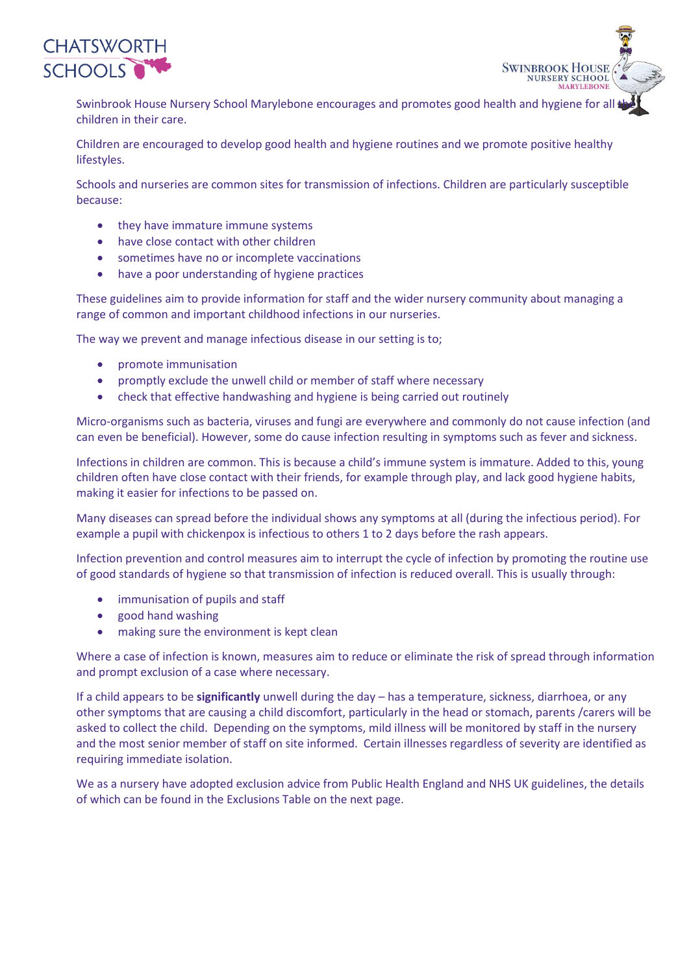

Swinbrook House Nursery School Marylebone encourages and promotes good health and hygiene for all the children in their care.

**SWINBROOK HOUSE NURSERY SCHOOL MARYLEBONE** 

Children are encouraged to develop good health and hygiene routines and we promote positive healthy lifestyles.

Schools and nurseries are common sites for transmission of infections. Children are particularly susceptible because:

- they have immature immune systems
- have close contact with other children
- sometimes have no or incomplete vaccinations
- have a poor understanding of hygiene practices

These guidelines aim to provide information for staff and the wider nursery community about managing a range of common and important childhood infections in our nurseries.

The way we prevent and manage infectious disease in our setting is to;

- promote immunisation
- promptly exclude the unwell child or member of staff where necessary
- check that effective handwashing and hygiene is being carried out routinely

Micro-organisms such as bacteria, viruses and fungi are everywhere and commonly do not cause infection (and can even be beneficial). However, some do cause infection resulting in symptoms such as fever and sickness.

Infections in children are common. This is because a child's immune system is immature. Added to this, young children often have close contact with their friends, for example through play, and lack good hygiene habits, making it easier for infections to be passed on.

Many diseases can spread before the individual shows any symptoms at all (during the infectious period). For example a pupil with chickenpox is infectious to others 1 to 2 days before the rash appears.

Infection prevention and control measures aim to interrupt the cycle of infection by promoting the routine use of good standards of hygiene so that transmission of infection is reduced overall. This is usually through:

- immunisation of pupils and staff
- good hand washing
- making sure the environment is kept clean

Where a case of infection is known, measures aim to reduce or eliminate the risk of spread through information and prompt exclusion of a case where necessary.

If a child appears to be **significantly** unwell during the day – has a temperature, sickness, diarrhoea, or any other symptoms that are causing a child discomfort, particularly in the head or stomach, parents /carers will be asked to collect the child. Depending on the symptoms, mild illness will be monitored by staff in the nursery and the most senior member of staff on site informed. Certain illnesses regardless of severity are identified as requiring immediate isolation.

We as a nursery have adopted exclusion advice from Public Health England and NHS UK guidelines, the details of which can be found in the Exclusions Table on the next page.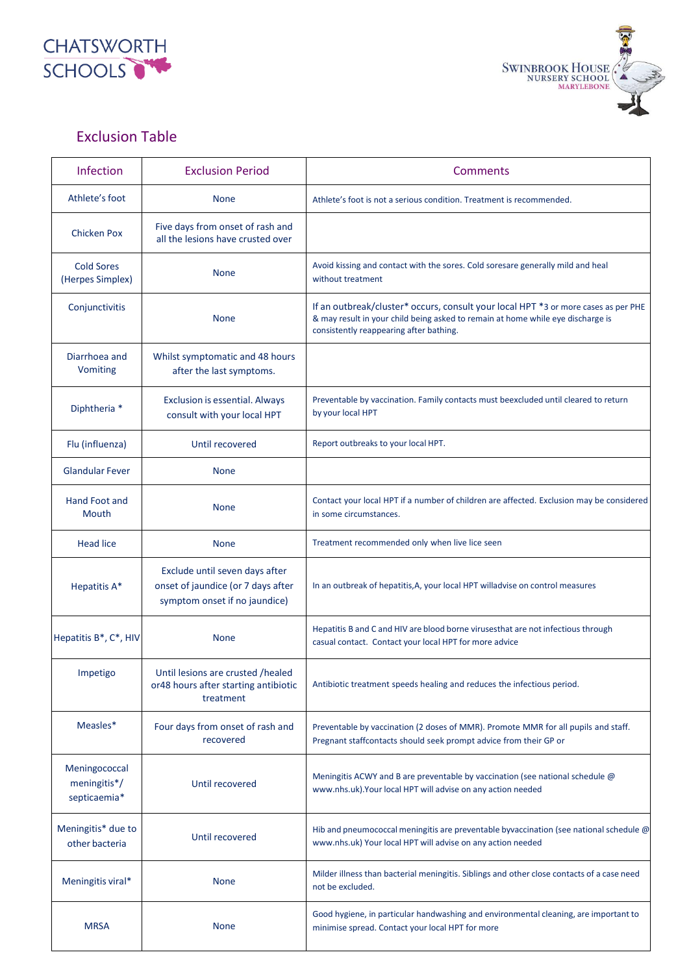



## Exclusion Table

| Infection                                     | <b>Exclusion Period</b>                                                                               | Comments                                                                                                                                                                                                         |  |
|-----------------------------------------------|-------------------------------------------------------------------------------------------------------|------------------------------------------------------------------------------------------------------------------------------------------------------------------------------------------------------------------|--|
| Athlete's foot                                | <b>None</b>                                                                                           | Athlete's foot is not a serious condition. Treatment is recommended.                                                                                                                                             |  |
| <b>Chicken Pox</b>                            | Five days from onset of rash and<br>all the lesions have crusted over                                 |                                                                                                                                                                                                                  |  |
| <b>Cold Sores</b><br>(Herpes Simplex)         | <b>None</b>                                                                                           | Avoid kissing and contact with the sores. Cold soresare generally mild and heal<br>without treatment                                                                                                             |  |
| Conjunctivitis                                | <b>None</b>                                                                                           | If an outbreak/cluster* occurs, consult your local HPT *3 or more cases as per PHE<br>& may result in your child being asked to remain at home while eye discharge is<br>consistently reappearing after bathing. |  |
| Diarrhoea and<br>Vomiting                     | Whilst symptomatic and 48 hours<br>after the last symptoms.                                           |                                                                                                                                                                                                                  |  |
| Diphtheria *                                  | <b>Exclusion is essential. Always</b><br>consult with your local HPT                                  | Preventable by vaccination. Family contacts must beexcluded until cleared to return<br>by your local HPT                                                                                                         |  |
| Flu (influenza)                               | Until recovered                                                                                       | Report outbreaks to your local HPT.                                                                                                                                                                              |  |
| <b>Glandular Fever</b>                        | <b>None</b>                                                                                           |                                                                                                                                                                                                                  |  |
| Hand Foot and<br>Mouth                        | <b>None</b>                                                                                           | Contact your local HPT if a number of children are affected. Exclusion may be considered<br>in some circumstances.                                                                                               |  |
| <b>Head lice</b>                              | <b>None</b>                                                                                           | Treatment recommended only when live lice seen                                                                                                                                                                   |  |
| Hepatitis A*                                  | Exclude until seven days after<br>onset of jaundice (or 7 days after<br>symptom onset if no jaundice) | In an outbreak of hepatitis, A, your local HPT willadvise on control measures                                                                                                                                    |  |
| Hepatitis B*, C*, HIV                         | <b>None</b>                                                                                           | Hepatitis B and C and HIV are blood borne virusesthat are not infectious through<br>casual contact. Contact your local HPT for more advice                                                                       |  |
| Impetigo                                      | Until lesions are crusted /healed<br>or48 hours after starting antibiotic<br>treatment                | Antibiotic treatment speeds healing and reduces the infectious period.                                                                                                                                           |  |
| Measles*                                      | Four days from onset of rash and<br>recovered                                                         | Preventable by vaccination (2 doses of MMR). Promote MMR for all pupils and staff.<br>Pregnant staffcontacts should seek prompt advice from their GP or                                                          |  |
| Meningococcal<br>meningitis*/<br>septicaemia* | Until recovered                                                                                       | Meningitis ACWY and B are preventable by vaccination (see national schedule @<br>www.nhs.uk). Your local HPT will advise on any action needed                                                                    |  |
| Meningitis* due to<br>other bacteria          | Until recovered                                                                                       | Hib and pneumococcal meningitis are preventable byvaccination (see national schedule @<br>www.nhs.uk) Your local HPT will advise on any action needed                                                            |  |
| Meningitis viral*                             | <b>None</b>                                                                                           | Milder illness than bacterial meningitis. Siblings and other close contacts of a case need<br>not be excluded.                                                                                                   |  |
| <b>MRSA</b>                                   | <b>None</b>                                                                                           | Good hygiene, in particular handwashing and environmental cleaning, are important to<br>minimise spread. Contact your local HPT for more                                                                         |  |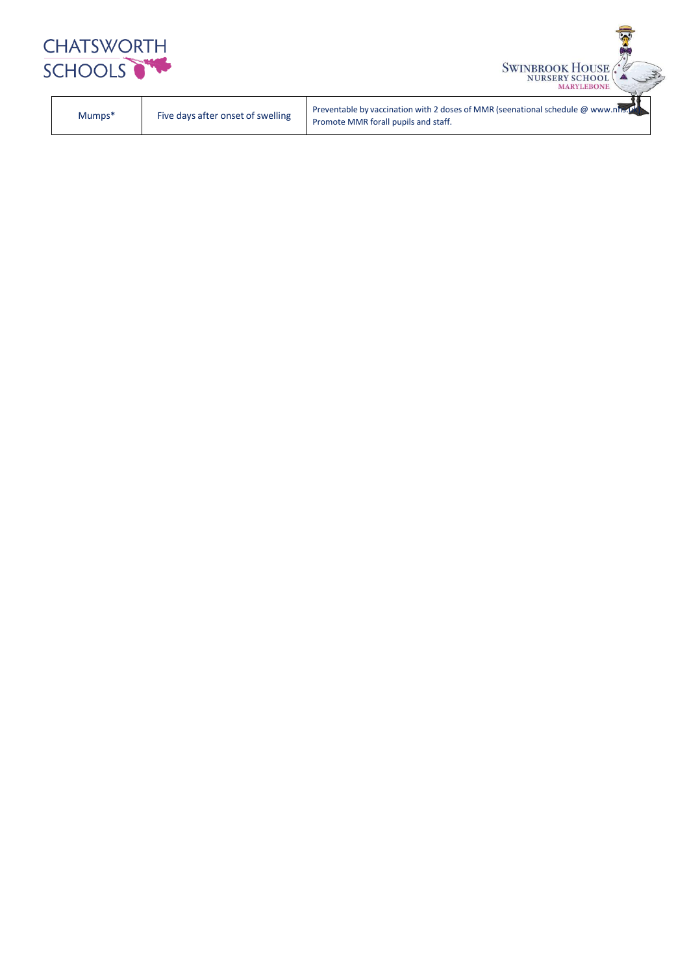

| Five days after onset of swelling | Preventable by vaccination with 2 doses of MMR (seenational schedule $\omega$ www.nhs.pt |
|-----------------------------------|------------------------------------------------------------------------------------------|
| Mumps*                            | Promote MMR forall pupils and staff.                                                     |

SWINBROOK HOUSE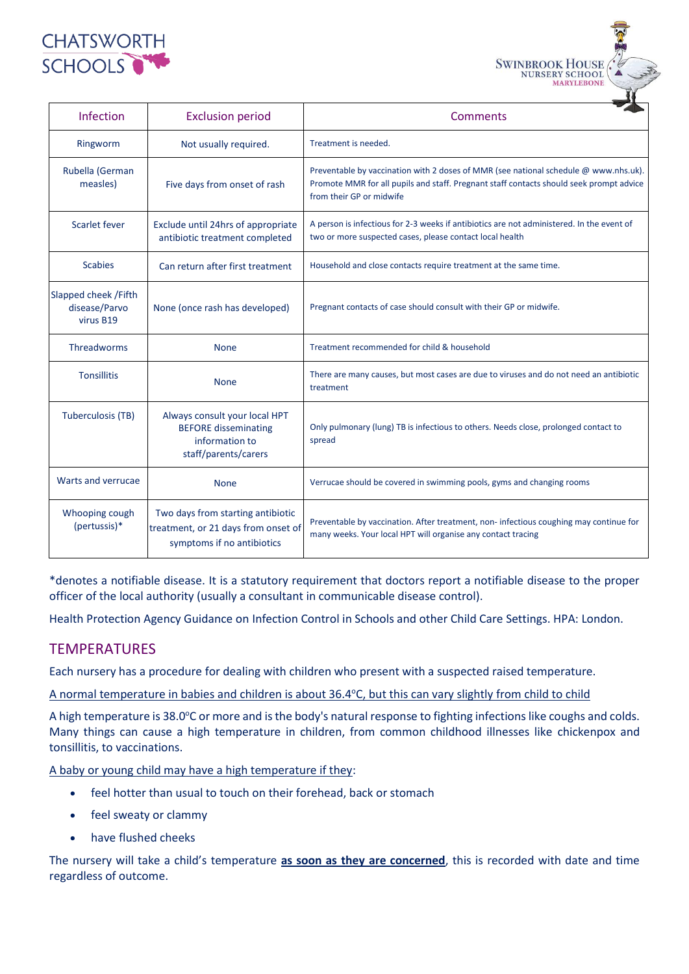

| <b>Infection</b>                                    | <b>Exclusion period</b>                                                                                | Comments                                                                                                                                                                                                    |  |
|-----------------------------------------------------|--------------------------------------------------------------------------------------------------------|-------------------------------------------------------------------------------------------------------------------------------------------------------------------------------------------------------------|--|
| Ringworm                                            | Not usually required.                                                                                  | Treatment is needed.                                                                                                                                                                                        |  |
| Rubella (German<br>measles)                         | Five days from onset of rash                                                                           | Preventable by vaccination with 2 doses of MMR (see national schedule @ www.nhs.uk).<br>Promote MMR for all pupils and staff. Pregnant staff contacts should seek prompt advice<br>from their GP or midwife |  |
| Scarlet fever                                       | Exclude until 24hrs of appropriate<br>antibiotic treatment completed                                   | A person is infectious for 2-3 weeks if antibiotics are not administered. In the event of<br>two or more suspected cases, please contact local health                                                       |  |
| <b>Scabies</b>                                      | Can return after first treatment                                                                       | Household and close contacts require treatment at the same time.                                                                                                                                            |  |
| Slapped cheek / Fifth<br>disease/Parvo<br>virus B19 | None (once rash has developed)                                                                         | Pregnant contacts of case should consult with their GP or midwife.                                                                                                                                          |  |
| Threadworms                                         | <b>None</b>                                                                                            | Treatment recommended for child & household                                                                                                                                                                 |  |
| <b>Tonsillitis</b>                                  | <b>None</b>                                                                                            | There are many causes, but most cases are due to viruses and do not need an antibiotic<br>treatment                                                                                                         |  |
| <b>Tuberculosis (TB)</b>                            | Always consult your local HPT<br><b>BEFORE disseminating</b><br>information to<br>staff/parents/carers | Only pulmonary (lung) TB is infectious to others. Needs close, prolonged contact to<br>spread                                                                                                               |  |
| Warts and verrucae                                  | <b>None</b>                                                                                            | Verrucae should be covered in swimming pools, gyms and changing rooms                                                                                                                                       |  |
| Whooping cough<br>(pertussis)*                      | Two days from starting antibiotic<br>treatment, or 21 days from onset of<br>symptoms if no antibiotics | Preventable by vaccination. After treatment, non-infectious coughing may continue for<br>many weeks. Your local HPT will organise any contact tracing                                                       |  |

**SWINBROOK HOUSE** 

**MARYLEBONI** 

\*denotes a notifiable disease. It is a statutory requirement that doctors report a notifiable disease to the proper officer of the local authority (usually a consultant in communicable disease control).

Health Protection Agency Guidance on Infection Control in Schools and other Child Care Settings. HPA: London.

#### TEMPERATURES

Each nursery has a procedure for dealing with children who present with a suspected raised temperature.

A normal temperature in babies and children is about 36.4°C, but this can vary slightly from child to child

A high temperature is 38.0°C or more and is the body's natural response to fighting infections like coughs and colds. Many things can cause a high temperature in children, from common childhood illnesses like chickenpox and tonsillitis, to vaccinations.

A baby or young child may have a high temperature if they:

- feel hotter than usual to touch on their forehead, back or stomach
- feel sweaty or clammy
- have flushed cheeks

The nursery will take a child's temperature **as soon as they are concerned**, this is recorded with date and time regardless of outcome.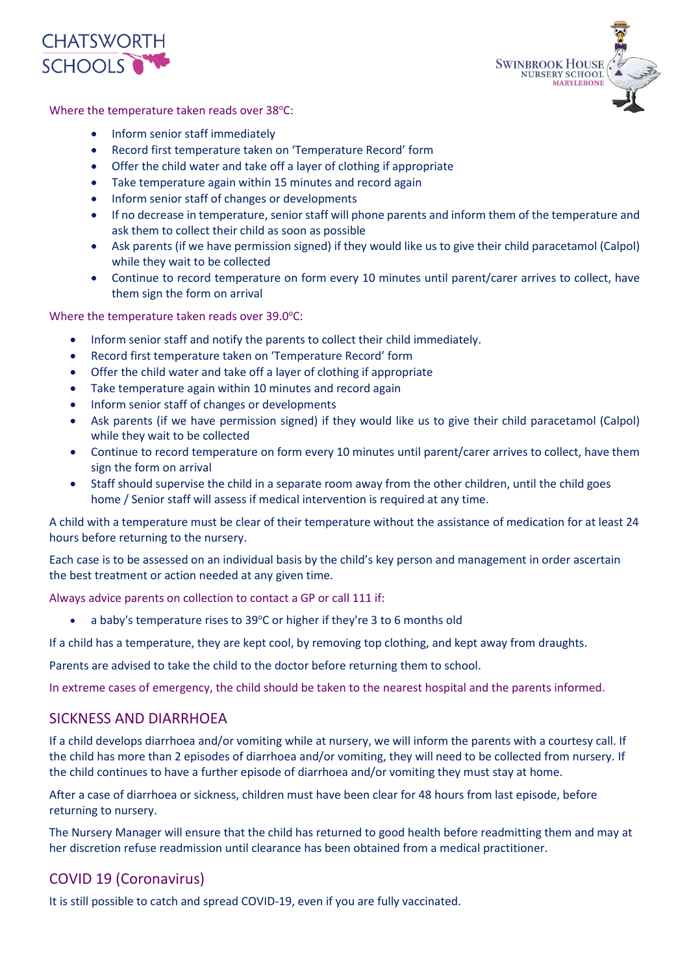



Where the temperature taken reads over 38°C:

- Inform senior staff immediately
- Record first temperature taken on 'Temperature Record' form
- Offer the child water and take off a layer of clothing if appropriate
- Take temperature again within 15 minutes and record again
- Inform senior staff of changes or developments
- If no decrease in temperature, senior staff will phone parents and inform them of the temperature and ask them to collect their child as soon as possible
- Ask parents (if we have permission signed) if they would like us to give their child paracetamol (Calpol) while they wait to be collected
- Continue to record temperature on form every 10 minutes until parent/carer arrives to collect, have them sign the form on arrival

Where the temperature taken reads over  $39.0^{\circ}$ C:

- Inform senior staff and notify the parents to collect their child immediately.
- Record first temperature taken on 'Temperature Record' form
- Offer the child water and take off a layer of clothing if appropriate
- Take temperature again within 10 minutes and record again
- Inform senior staff of changes or developments
- Ask parents (if we have permission signed) if they would like us to give their child paracetamol (Calpol) while they wait to be collected
- Continue to record temperature on form every 10 minutes until parent/carer arrives to collect, have them sign the form on arrival
- Staff should supervise the child in a separate room away from the other children, until the child goes home / Senior staff will assess if medical intervention is required at any time.

A child with a temperature must be clear of their temperature without the assistance of medication for at least 24 hours before returning to the nursery.

Each case is to be assessed on an individual basis by the child's key person and management in order ascertain the best treatment or action needed at any given time.

Always advice parents on collection to contact a GP or call 111 if:

a baby's temperature rises to 39°C or higher if they're 3 to 6 months old

If a child has a temperature, they are kept cool, by removing top clothing, and kept away from draughts.

Parents are advised to take the child to the doctor before returning them to school.

In extreme cases of emergency, the child should be taken to the nearest hospital and the parents informed.

#### SICKNESS AND DIARRHOEA

If a child develops diarrhoea and/or vomiting while at nursery, we will inform the parents with a courtesy call. If the child has more than 2 episodes of diarrhoea and/or vomiting, they will need to be collected from nursery. If the child continues to have a further episode of diarrhoea and/or vomiting they must stay at home.

After a case of diarrhoea or sickness, children must have been clear for 48 hours from last episode, before returning to nursery.

The Nursery Manager will ensure that the child has returned to good health before readmitting them and may at her discretion refuse readmission until clearance has been obtained from a medical practitioner.

### COVID 19 (Coronavirus)

It is still possible to catch and spread COVID-19, even if you are fully vaccinated.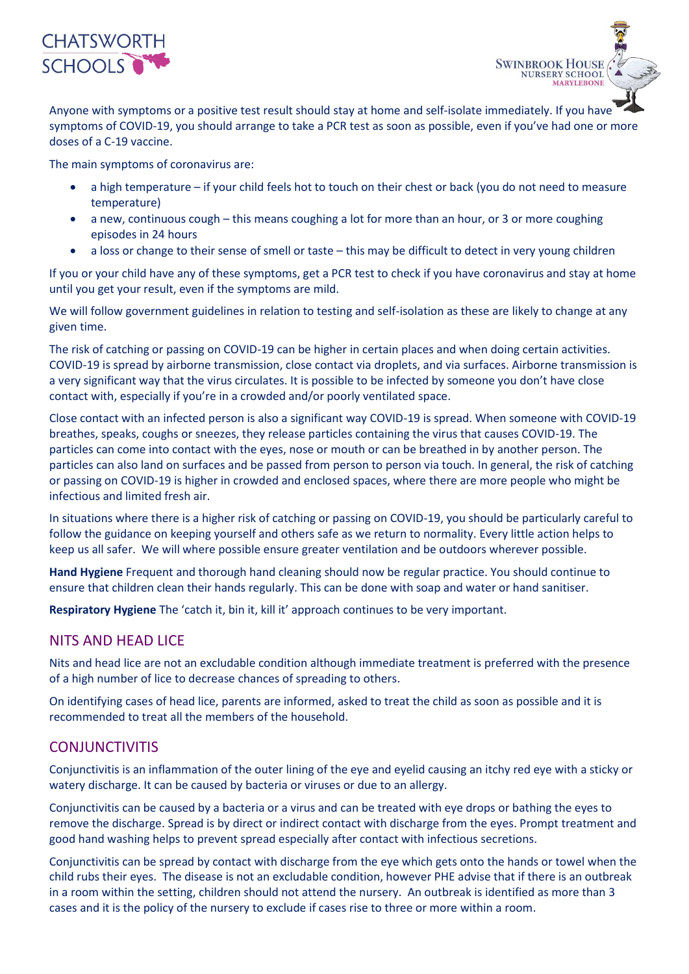

Anyone with symptoms or a positive test result should [stay at home](https://www.gov.uk/government/publications/covid-19-stay-at-home-guidance/stay-at-home-guidance-for-households-with-possible-coronavirus-covid-19-infection) and self-isolate immediately. If you have symptoms of COVID-19, you should arrange to [take a PCR test](https://www.gov.uk/get-coronavirus-test) as soon as possible, even if you've had one or more doses of a C-19 vaccine.

**SWINBROOK HOUSE NURSERY SCHOOL MARYLEBONE** 

The main symptoms of coronavirus are:

- a high temperature if your child feels hot to touch on their chest or back (you do not need to measure temperature)
- a new, continuous cough this means coughing a lot for more than an hour, or 3 or more coughing episodes in 24 hours
- a loss or change to their sense of smell or taste this may be difficult to detect in very young children

If you or your child have any of these symptoms, get a PCR test to check if you have coronavirus and stay at home until you get your result, even if the symptoms are mild.

We will follow government guidelines in relation to testing and self-isolation as these are likely to change at any given time.

The risk of catching or passing on COVID-19 can be higher in certain places and when doing certain activities. COVID-19 is spread by airborne transmission, close contact via droplets, and via surfaces. Airborne transmission is a very significant way that the virus circulates. It is possible to be infected by someone you don't have close contact with, especially if you're in a crowded and/or poorly ventilated space.

Close contact with an infected person is also a significant way COVID-19 is spread. When someone with COVID-19 breathes, speaks, coughs or sneezes, they release particles containing the virus that causes COVID-19. The particles can come into contact with the eyes, nose or mouth or can be breathed in by another person. The particles can also land on surfaces and be passed from person to person via touch. In general, the risk of catching or passing on COVID-19 is higher in crowded and enclosed spaces, where there are more people who might be infectious and limited fresh air.

In situations where there is a higher risk of catching or passing on COVID-19, you should be particularly careful to follow the guidance on keeping yourself and others safe as we return to normality. Every little action helps to keep us all safer. We will where possible ensure greater ventilation and be outdoors wherever possible.

**Hand Hygiene** Frequent and thorough hand cleaning should now be regular practice. You should continue to ensure that children clean their hands regularly. This can be done with soap and water or hand sanitiser.

**Respiratory Hygiene** The 'catch it, bin it, kill it' approach continues to be very important.

#### NITS AND HEAD LICE

Nits and head lice are not an excludable condition although immediate treatment is preferred with the presence of a high number of lice to decrease chances of spreading to others.

On identifying cases of head lice, parents are informed, asked to treat the child as soon as possible and it is recommended to treat all the members of the household.

#### **CONJUNCTIVITIS**

Conjunctivitis is an inflammation of the outer lining of the eye and eyelid causing an itchy red eye with a sticky or watery discharge. It can be caused by bacteria or viruses or due to an allergy.

Conjunctivitis can be caused by a bacteria or a virus and can be treated with eye drops or bathing the eyes to remove the discharge. Spread is by direct or indirect contact with discharge from the eyes. Prompt treatment and good hand washing helps to prevent spread especially after contact with infectious secretions.

Conjunctivitis can be spread by contact with discharge from the eye which gets onto the hands or towel when the child rubs their eyes. The disease is not an excludable condition, however PHE advise that if there is an outbreak in a room within the setting, children should not attend the nursery. An outbreak is identified as more than 3 cases and it is the policy of the nursery to exclude if cases rise to three or more within a room.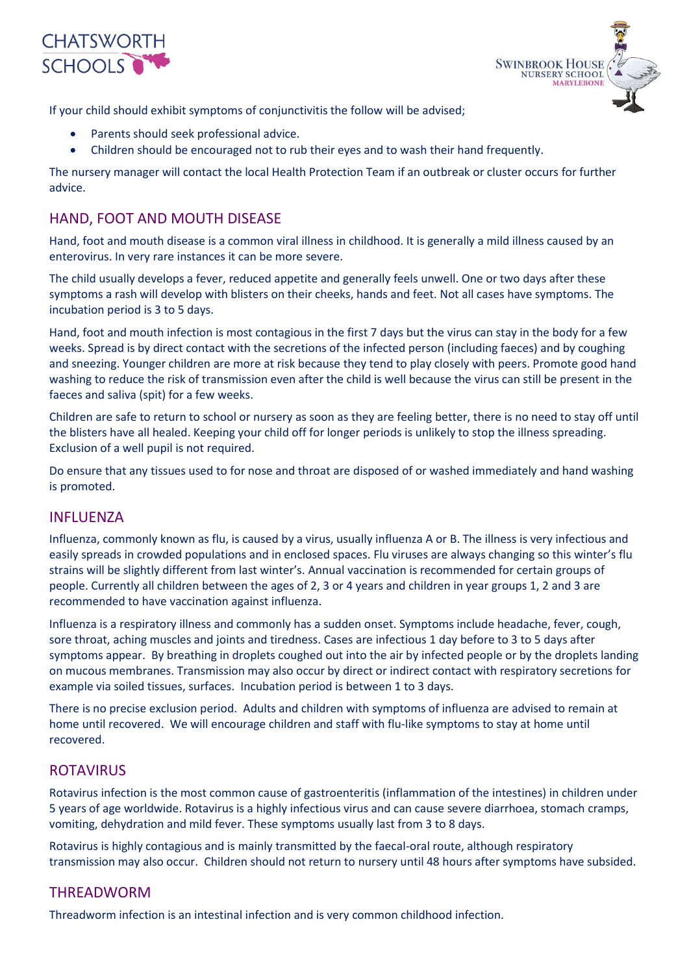



If your child should exhibit symptoms of conjunctivitis the follow will be advised;

- Parents should seek professional advice.
- Children should be encouraged not to rub their eyes and to wash their hand frequently.

The nursery manager will contact the local Health Protection Team if an outbreak or cluster occurs for further advice.

#### HAND, FOOT AND MOUTH DISEASE

Hand, foot and mouth disease is a common viral illness in childhood. It is generally a mild illness caused by an enterovirus. In very rare instances it can be more severe.

The child usually develops a fever, reduced appetite and generally feels unwell. One or two days after these symptoms a rash will develop with blisters on their cheeks, hands and feet. Not all cases have symptoms. The incubation period is 3 to 5 days.

Hand, foot and mouth infection is most contagious in the first 7 days but the virus can stay in the body for a few weeks. Spread is by direct contact with the secretions of the infected person (including faeces) and by coughing and sneezing. Younger children are more at risk because they tend to play closely with peers. Promote good hand washing to reduce the risk of transmission even after the child is well because the virus can still be present in the faeces and saliva (spit) for a few weeks.

Children are safe to return to school or nursery as soon as they are feeling better, there is no need to stay off until the blisters have all healed. Keeping your child off for longer periods is unlikely to stop the illness spreading. Exclusion of a well pupil is not required.

Do ensure that any tissues used to for nose and throat are disposed of or washed immediately and hand washing is promoted.

#### INFLUENZA

Influenza, commonly known as flu, is caused by a virus, usually influenza A or B. The illness is very infectious and easily spreads in crowded populations and in enclosed spaces. Flu viruses are always changing so this winter's flu strains will be slightly different from last winter's. Annual vaccination is recommended for certain groups of people. Currently all children between the ages of 2, 3 or 4 years and children in year groups 1, 2 and 3 are recommended to have vaccination against influenza.

Influenza is a respiratory illness and commonly has a sudden onset. Symptoms include headache, fever, cough, sore throat, aching muscles and joints and tiredness. Cases are infectious 1 day before to 3 to 5 days after symptoms appear. By breathing in droplets coughed out into the air by infected people or by the droplets landing on mucous membranes. Transmission may also occur by direct or indirect contact with respiratory secretions for example via soiled tissues, surfaces. Incubation period is between 1 to 3 days.

There is no precise exclusion period. Adults and children with symptoms of influenza are advised to remain at home until recovered. We will encourage children and staff with flu-like symptoms to stay at home until recovered.

#### ROTAVIRUS

Rotavirus infection is the most common cause of gastroenteritis (inflammation of the intestines) in children under 5 years of age worldwide. Rotavirus is a highly infectious virus and can cause severe diarrhoea, stomach cramps, vomiting, dehydration and mild fever. These symptoms usually last from 3 to 8 days.

Rotavirus is highly contagious and is mainly transmitted by the faecal-oral route, although respiratory transmission may also occur. Children should not return to nursery until 48 hours after symptoms have subsided.

#### THREADWORM

Threadworm infection is an intestinal infection and is very common childhood infection.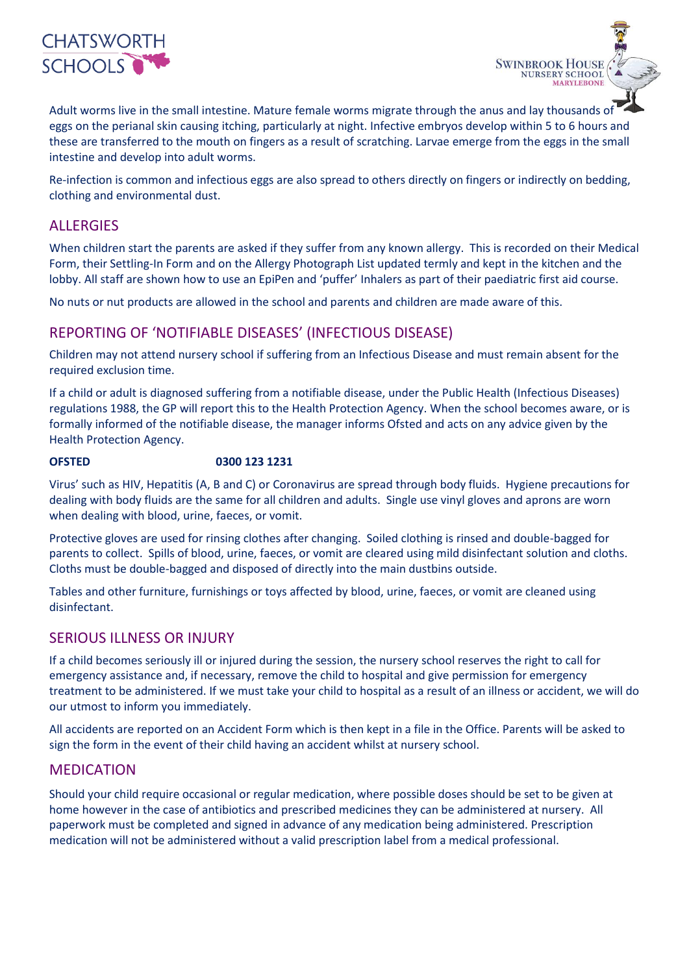

Adult worms live in the small intestine. Mature female worms migrate through the anus and lay thousands of eggs on the perianal skin causing itching, particularly at night. Infective embryos develop within 5 to 6 hours and these are transferred to the mouth on fingers as a result of scratching. Larvae emerge from the eggs in the small intestine and develop into adult worms.

**SWINBROOK HOUSE NURSERY SCHOOL MARYLEBONE** 

Re-infection is common and infectious eggs are also spread to others directly on fingers or indirectly on bedding, clothing and environmental dust.

#### ALLERGIES

When children start the parents are asked if they suffer from any known allergy. This is recorded on their Medical Form, their Settling-In Form and on the Allergy Photograph List updated termly and kept in the kitchen and the lobby. All staff are shown how to use an EpiPen and 'puffer' Inhalers as part of their paediatric first aid course.

No nuts or nut products are allowed in the school and parents and children are made aware of this.

#### REPORTING OF 'NOTIFIABLE DISEASES' (INFECTIOUS DISEASE)

Children may not attend nursery school if suffering from an Infectious Disease and must remain absent for the required exclusion time.

If a child or adult is diagnosed suffering from a notifiable disease, under the Public Health (Infectious Diseases) regulations 1988, the GP will report this to the Health Protection Agency. When the school becomes aware, or is formally informed of the notifiable disease, the manager informs Ofsted and acts on any advice given by the Health Protection Agency.

#### **OFSTED 0300 123 1231**

Virus' such as HIV, Hepatitis (A, B and C) or Coronavirus are spread through body fluids. Hygiene precautions for dealing with body fluids are the same for all children and adults. Single use vinyl gloves and aprons are worn when dealing with blood, urine, faeces, or vomit.

Protective gloves are used for rinsing clothes after changing. Soiled clothing is rinsed and double-bagged for parents to collect. Spills of blood, urine, faeces, or vomit are cleared using mild disinfectant solution and cloths. Cloths must be double-bagged and disposed of directly into the main dustbins outside.

Tables and other furniture, furnishings or toys affected by blood, urine, faeces, or vomit are cleaned using disinfectant.

#### SERIOUS ILLNESS OR INJURY

If a child becomes seriously ill or injured during the session, the nursery school reserves the right to call for emergency assistance and, if necessary, remove the child to hospital and give permission for emergency treatment to be administered. If we must take your child to hospital as a result of an illness or accident, we will do our utmost to inform you immediately.

All accidents are reported on an Accident Form which is then kept in a file in the Office. Parents will be asked to sign the form in the event of their child having an accident whilst at nursery school.

#### MEDICATION

Should your child require occasional or regular medication, where possible doses should be set to be given at home however in the case of antibiotics and prescribed medicines they can be administered at nursery. All paperwork must be completed and signed in advance of any medication being administered. Prescription medication will not be administered without a valid prescription label from a medical professional.